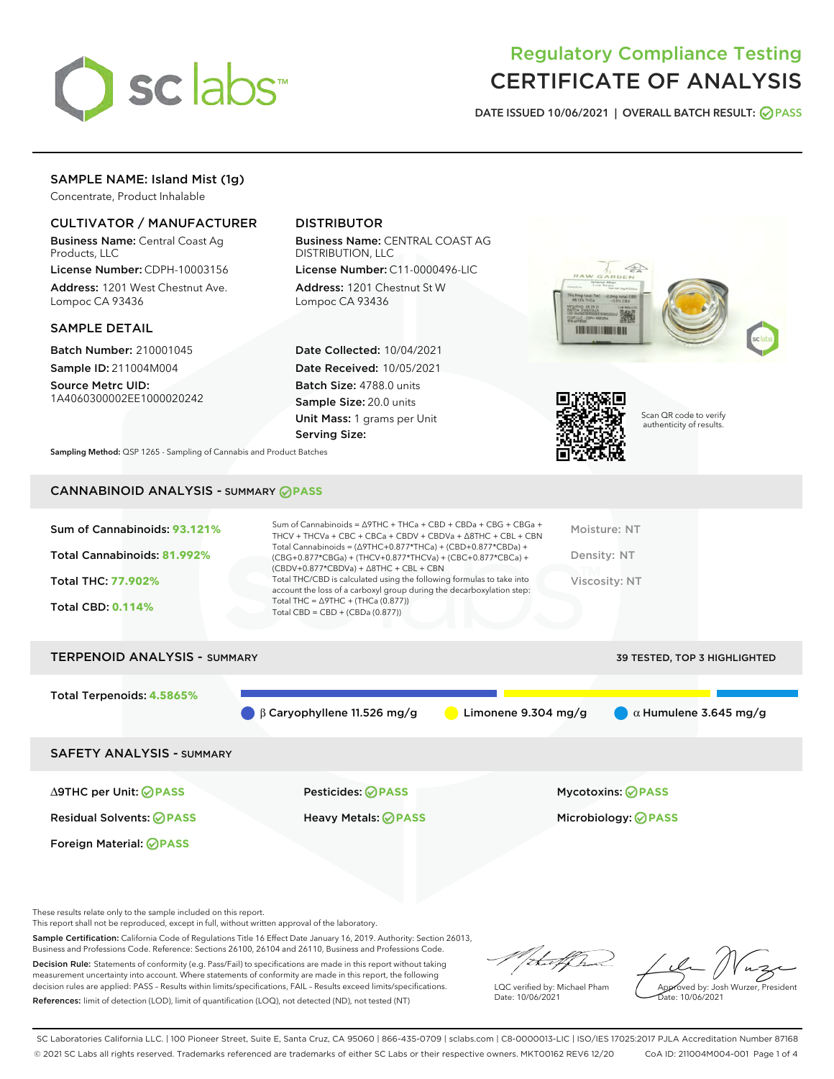

## Regulatory Compliance Testing CERTIFICATE OF ANALYSIS

DATE ISSUED 10/06/2021 | OVERALL BATCH RESULT: @ PASS

#### SAMPLE NAME: Island Mist (1g)

Concentrate, Product Inhalable

#### CULTIVATOR / MANUFACTURER

Business Name: Central Coast Ag Products, LLC

License Number: CDPH-10003156 Address: 1201 West Chestnut Ave. Lompoc CA 93436

#### SAMPLE DETAIL

Batch Number: 210001045 Sample ID: 211004M004 Source Metrc UID:

1A4060300002EE1000020242

#### DISTRIBUTOR

Business Name: CENTRAL COAST AG DISTRIBUTION, LLC

License Number: C11-0000496-LIC Address: 1201 Chestnut St W Lompoc CA 93436

Date Collected: 10/04/2021 Date Received: 10/05/2021 Batch Size: 4788.0 units Sample Size: 20.0 units Unit Mass: 1 grams per Unit Serving Size:





Scan QR code to verify authenticity of results.

Sampling Method: QSP 1265 - Sampling of Cannabis and Product Batches

### CANNABINOID ANALYSIS - SUMMARY **PASS**

| Total Cannabinoids = $(\Delta$ 9THC+0.877*THCa) + (CBD+0.877*CBDa) +<br>Total Cannabinoids: 81.992%<br>Density: NT<br>(CBG+0.877*CBGa) + (THCV+0.877*THCVa) + (CBC+0.877*CBCa) +<br>$(CBDV+0.877*CBDVa) + \Delta 8THC + CBL + CBN$<br>Total THC/CBD is calculated using the following formulas to take into<br><b>Total THC: 77.902%</b><br>Viscosity: NT<br>account the loss of a carboxyl group during the decarboxylation step:<br>Total THC = $\triangle$ 9THC + (THCa (0.877))<br><b>Total CBD: 0.114%</b><br>Total CBD = $CBD + (CBDa (0.877))$ | Sum of Cannabinoids: 93.121% | Sum of Cannabinoids = $\triangle$ 9THC + THCa + CBD + CBDa + CBG + CBGa +<br>THCV + THCVa + CBC + CBCa + CBDV + CBDVa + $\Delta$ 8THC + CBL + CBN | Moisture: NT |
|-------------------------------------------------------------------------------------------------------------------------------------------------------------------------------------------------------------------------------------------------------------------------------------------------------------------------------------------------------------------------------------------------------------------------------------------------------------------------------------------------------------------------------------------------------|------------------------------|---------------------------------------------------------------------------------------------------------------------------------------------------|--------------|
|                                                                                                                                                                                                                                                                                                                                                                                                                                                                                                                                                       |                              |                                                                                                                                                   |              |
|                                                                                                                                                                                                                                                                                                                                                                                                                                                                                                                                                       |                              |                                                                                                                                                   |              |
|                                                                                                                                                                                                                                                                                                                                                                                                                                                                                                                                                       |                              |                                                                                                                                                   |              |

# TERPENOID ANALYSIS - SUMMARY 39 TESTED, TOP 3 HIGHLIGHTED Total Terpenoids: **4.5865%** β Caryophyllene 11.526 mg/g **a** Limonene 9.304 mg/g **a**  $\alpha$  Humulene 3.645 mg/g SAFETY ANALYSIS - SUMMARY

Foreign Material: **PASS**

Residual Solvents: **PASS** Heavy Metals: **PASS** Microbiology: **PASS**

∆9THC per Unit: **PASS** Pesticides: **PASS** Mycotoxins: **PASS**

These results relate only to the sample included on this report.

This report shall not be reproduced, except in full, without written approval of the laboratory.

Sample Certification: California Code of Regulations Title 16 Effect Date January 16, 2019. Authority: Section 26013, Business and Professions Code. Reference: Sections 26100, 26104 and 26110, Business and Professions Code.

Decision Rule: Statements of conformity (e.g. Pass/Fail) to specifications are made in this report without taking measurement uncertainty into account. Where statements of conformity are made in this report, the following decision rules are applied: PASS – Results within limits/specifications, FAIL – Results exceed limits/specifications. References: limit of detection (LOD), limit of quantification (LOQ), not detected (ND), not tested (NT)

that f

LQC verified by: Michael Pham Date: 10/06/2021

Approved by: Josh Wurzer, President Date: 10/06/2021

SC Laboratories California LLC. | 100 Pioneer Street, Suite E, Santa Cruz, CA 95060 | 866-435-0709 | sclabs.com | C8-0000013-LIC | ISO/IES 17025:2017 PJLA Accreditation Number 87168 © 2021 SC Labs all rights reserved. Trademarks referenced are trademarks of either SC Labs or their respective owners. MKT00162 REV6 12/20 CoA ID: 211004M004-001 Page 1 of 4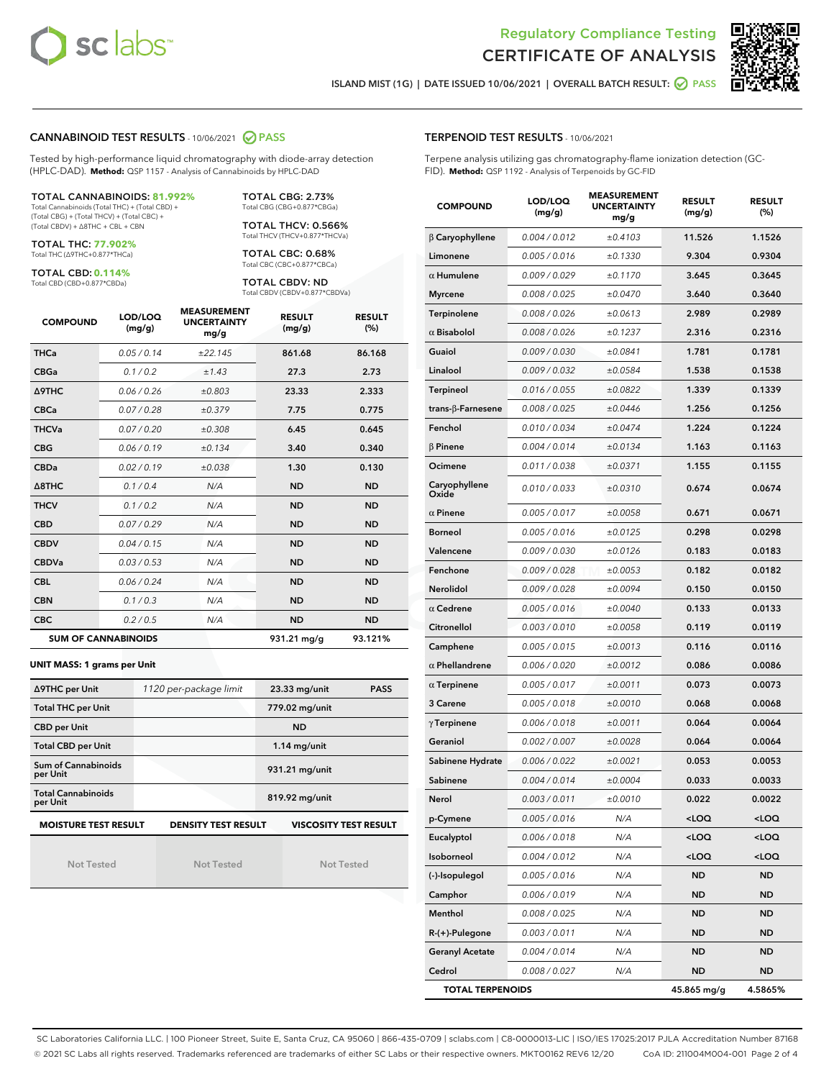



ISLAND MIST (1G) | DATE ISSUED 10/06/2021 | OVERALL BATCH RESULT: O PASS

#### CANNABINOID TEST RESULTS - 10/06/2021 2 PASS

Tested by high-performance liquid chromatography with diode-array detection (HPLC-DAD). **Method:** QSP 1157 - Analysis of Cannabinoids by HPLC-DAD

#### TOTAL CANNABINOIDS: **81.992%**

Total Cannabinoids (Total THC) + (Total CBD) + (Total CBG) + (Total THCV) + (Total CBC) + (Total CBDV) + ∆8THC + CBL + CBN

TOTAL THC: **77.902%** Total THC (∆9THC+0.877\*THCa)

TOTAL CBD: **0.114%** Total CBD (CBD+0.877\*CBDa)

TOTAL CBG: 2.73% Total CBG (CBG+0.877\*CBGa)

TOTAL THCV: 0.566% Total THCV (THCV+0.877\*THCVa)

TOTAL CBC: 0.68% Total CBC (CBC+0.877\*CBCa)

TOTAL CBDV: ND Total CBDV (CBDV+0.877\*CBDVa)

| <b>COMPOUND</b>  | LOD/LOQ<br>(mg/g)          | <b>MEASUREMENT</b><br><b>UNCERTAINTY</b><br>mg/g | <b>RESULT</b><br>(mg/g) | <b>RESULT</b><br>(%) |
|------------------|----------------------------|--------------------------------------------------|-------------------------|----------------------|
| <b>THCa</b>      | 0.05 / 0.14                | ±22.145                                          | 861.68                  | 86.168               |
| <b>CBGa</b>      | 0.1/0.2                    | ±1.43                                            | 27.3                    | 2.73                 |
| <b>A9THC</b>     | 0.06 / 0.26                | ±0.803                                           | 23.33                   | 2.333                |
| <b>CBCa</b>      | 0.07 / 0.28                | ±0.379                                           | 7.75                    | 0.775                |
| <b>THCVa</b>     | 0.07/0.20                  | ±0.308                                           | 6.45                    | 0.645                |
| <b>CBG</b>       | 0.06/0.19                  | ±0.134                                           | 3.40                    | 0.340                |
| <b>CBDa</b>      | 0.02/0.19                  | ±0.038                                           | 1.30                    | 0.130                |
| $\triangle$ 8THC | 0.1/0.4                    | N/A                                              | <b>ND</b>               | <b>ND</b>            |
| <b>THCV</b>      | 0.1/0.2                    | N/A                                              | <b>ND</b>               | <b>ND</b>            |
| <b>CBD</b>       | 0.07/0.29                  | N/A                                              | <b>ND</b>               | <b>ND</b>            |
| <b>CBDV</b>      | 0.04 / 0.15                | N/A                                              | <b>ND</b>               | <b>ND</b>            |
| <b>CBDVa</b>     | 0.03 / 0.53                | N/A                                              | <b>ND</b>               | <b>ND</b>            |
| <b>CBL</b>       | 0.06 / 0.24                | N/A                                              | <b>ND</b>               | <b>ND</b>            |
| <b>CBN</b>       | 0.1/0.3                    | N/A                                              | <b>ND</b>               | <b>ND</b>            |
| <b>CBC</b>       | 0.2 / 0.5                  | N/A                                              | <b>ND</b>               | <b>ND</b>            |
|                  | <b>SUM OF CANNABINOIDS</b> |                                                  | 931.21 mg/g             | 93.121%              |

#### **UNIT MASS: 1 grams per Unit**

| ∆9THC per Unit                        | 1120 per-package limit     | 23.33 mg/unit<br><b>PASS</b> |
|---------------------------------------|----------------------------|------------------------------|
| <b>Total THC per Unit</b>             |                            | 779.02 mg/unit               |
| <b>CBD per Unit</b>                   |                            | <b>ND</b>                    |
| <b>Total CBD per Unit</b>             |                            | $1.14$ mg/unit               |
| Sum of Cannabinoids<br>per Unit       |                            | 931.21 mg/unit               |
| <b>Total Cannabinoids</b><br>per Unit |                            | 819.92 mg/unit               |
| <b>MOISTURE TEST RESULT</b>           | <b>DENSITY TEST RESULT</b> | <b>VISCOSITY TEST RESULT</b> |

Not Tested

Not Tested

Not Tested

#### TERPENOID TEST RESULTS - 10/06/2021

Terpene analysis utilizing gas chromatography-flame ionization detection (GC-FID). **Method:** QSP 1192 - Analysis of Terpenoids by GC-FID

| <b>COMPOUND</b>         | LOD/LOQ<br>(mg/g) | <b>MEASUREMENT</b><br><b>UNCERTAINTY</b><br>mg/g | <b>RESULT</b><br>(mg/g)                         | <b>RESULT</b><br>$(\%)$ |
|-------------------------|-------------------|--------------------------------------------------|-------------------------------------------------|-------------------------|
| $\beta$ Caryophyllene   | 0.004 / 0.012     | ±0.4103                                          | 11.526                                          | 1.1526                  |
| Limonene                | 0.005 / 0.016     | ±0.1330                                          | 9.304                                           | 0.9304                  |
| $\alpha$ Humulene       | 0.009/0.029       | ±0.1170                                          | 3.645                                           | 0.3645                  |
| <b>Myrcene</b>          | 0.008 / 0.025     | ±0.0470                                          | 3.640                                           | 0.3640                  |
| Terpinolene             | 0.008 / 0.026     | ±0.0613                                          | 2.989                                           | 0.2989                  |
| $\alpha$ Bisabolol      | 0.008 / 0.026     | ±0.1237                                          | 2.316                                           | 0.2316                  |
| Guaiol                  | 0.009 / 0.030     | ±0.0841                                          | 1.781                                           | 0.1781                  |
| Linalool                | 0.009 / 0.032     | ±0.0584                                          | 1.538                                           | 0.1538                  |
| Terpineol               | 0.016 / 0.055     | ±0.0822                                          | 1.339                                           | 0.1339                  |
| trans-β-Farnesene       | 0.008 / 0.025     | ±0.0446                                          | 1.256                                           | 0.1256                  |
| Fenchol                 | 0.010 / 0.034     | ±0.0474                                          | 1.224                                           | 0.1224                  |
| $\beta$ Pinene          | 0.004 / 0.014     | ±0.0134                                          | 1.163                                           | 0.1163                  |
| Ocimene                 | 0.011 / 0.038     | ±0.0371                                          | 1.155                                           | 0.1155                  |
| Caryophyllene<br>Oxide  | 0.010 / 0.033     | ±0.0310                                          | 0.674                                           | 0.0674                  |
| $\alpha$ Pinene         | 0.005 / 0.017     | ±0.0058                                          | 0.671                                           | 0.0671                  |
| <b>Borneol</b>          | 0.005 / 0.016     | ±0.0125                                          | 0.298                                           | 0.0298                  |
| Valencene               | 0.009 / 0.030     | ±0.0126                                          | 0.183                                           | 0.0183                  |
| Fenchone                | 0.009/0.028       | ±0.0053                                          | 0.182                                           | 0.0182                  |
| <b>Nerolidol</b>        | 0.009 / 0.028     | ±0.0094                                          | 0.150                                           | 0.0150                  |
| $\alpha$ Cedrene        | 0.005 / 0.016     | ±0.0040                                          | 0.133                                           | 0.0133                  |
| Citronellol             | 0.003 / 0.010     | ±0.0058                                          | 0.119                                           | 0.0119                  |
| Camphene                | 0.005 / 0.015     | ±0.0013                                          | 0.116                                           | 0.0116                  |
| $\alpha$ Phellandrene   | 0.006 / 0.020     | ±0.0012                                          | 0.086                                           | 0.0086                  |
| $\alpha$ Terpinene      | 0.005 / 0.017     | ±0.0011                                          | 0.073                                           | 0.0073                  |
| 3 Carene                | 0.005 / 0.018     | ±0.0010                                          | 0.068                                           | 0.0068                  |
| $\gamma$ Terpinene      | 0.006 / 0.018     | ±0.0011                                          | 0.064                                           | 0.0064                  |
| Geraniol                | 0.002 / 0.007     | ±0.0028                                          | 0.064                                           | 0.0064                  |
| Sabinene Hydrate        | 0.006 / 0.022     | ±0.0021                                          | 0.053                                           | 0.0053                  |
| Sabinene                | 0.004 / 0.014     | ±0.0004                                          | 0.033                                           | 0.0033                  |
| Nerol                   | 0.003 / 0.011     | ±0.0010                                          | 0.022                                           | 0.0022                  |
| p-Cymene                | 0.005 / 0.016     | N/A                                              | <loq< th=""><th><loq< th=""></loq<></th></loq<> | <loq< th=""></loq<>     |
| Eucalyptol              | 0.006 / 0.018     | N/A                                              | <loq< th=""><th><loq< th=""></loq<></th></loq<> | <loq< th=""></loq<>     |
| Isoborneol              | 0.004 / 0.012     | N/A                                              | <loq< th=""><th><loq< th=""></loq<></th></loq<> | <loq< th=""></loq<>     |
| (-)-Isopulegol          | 0.005 / 0.016     | N/A                                              | ND                                              | ND                      |
| Camphor                 | 0.006 / 0.019     | N/A                                              | ND                                              | ND                      |
| Menthol                 | 0.008 / 0.025     | N/A                                              | ND                                              | <b>ND</b>               |
| R-(+)-Pulegone          | 0.003 / 0.011     | N/A                                              | ND                                              | ND                      |
| <b>Geranyl Acetate</b>  | 0.004 / 0.014     | N/A                                              | ND                                              | ND                      |
| Cedrol                  | 0.008 / 0.027     | N/A                                              | ND                                              | <b>ND</b>               |
| <b>TOTAL TERPENOIDS</b> |                   |                                                  | 45.865 mg/g                                     | 4.5865%                 |

SC Laboratories California LLC. | 100 Pioneer Street, Suite E, Santa Cruz, CA 95060 | 866-435-0709 | sclabs.com | C8-0000013-LIC | ISO/IES 17025:2017 PJLA Accreditation Number 87168 © 2021 SC Labs all rights reserved. Trademarks referenced are trademarks of either SC Labs or their respective owners. MKT00162 REV6 12/20 CoA ID: 211004M004-001 Page 2 of 4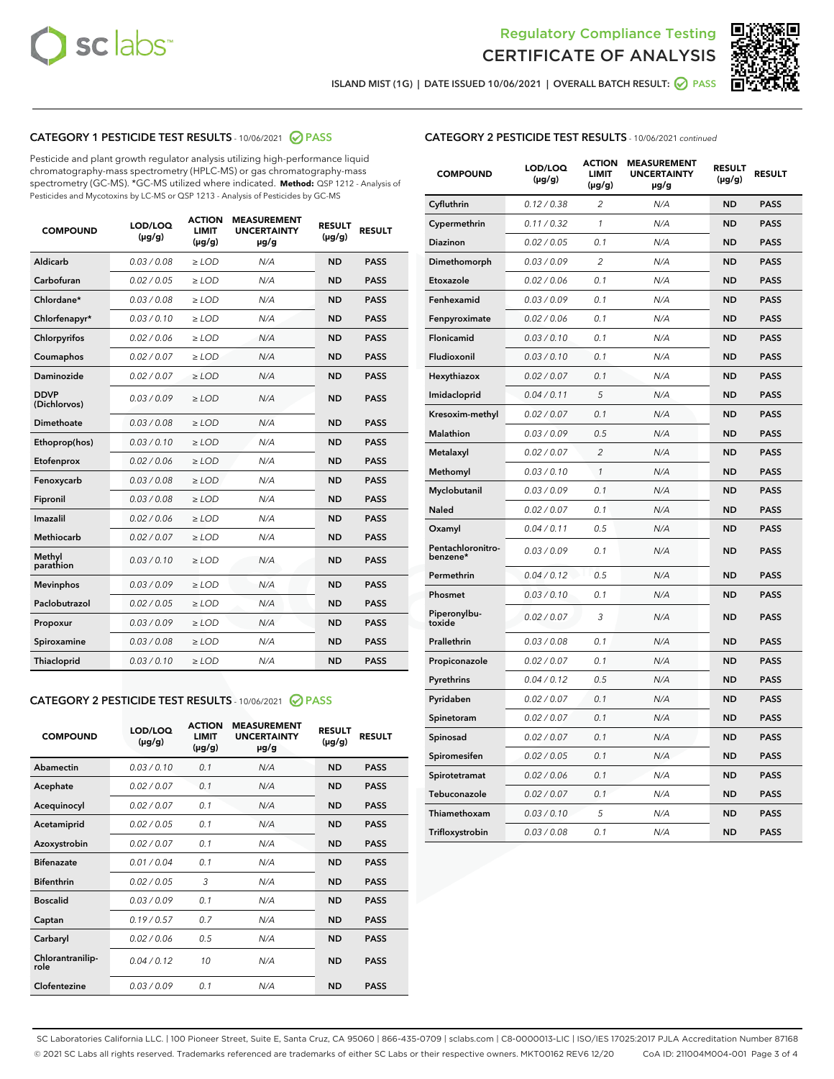



ISLAND MIST (1G) | DATE ISSUED 10/06/2021 | OVERALL BATCH RESULT: 0 PASS

#### CATEGORY 1 PESTICIDE TEST RESULTS - 10/06/2021 2 PASS

Pesticide and plant growth regulator analysis utilizing high-performance liquid chromatography-mass spectrometry (HPLC-MS) or gas chromatography-mass spectrometry (GC-MS). \*GC-MS utilized where indicated. **Method:** QSP 1212 - Analysis of Pesticides and Mycotoxins by LC-MS or QSP 1213 - Analysis of Pesticides by GC-MS

| <b>COMPOUND</b>             | LOD/LOQ<br>$(\mu g/g)$ | <b>ACTION</b><br><b>LIMIT</b><br>$(\mu g/g)$ | <b>MEASUREMENT</b><br><b>UNCERTAINTY</b><br>$\mu$ g/g | <b>RESULT</b><br>$(\mu g/g)$ | <b>RESULT</b> |
|-----------------------------|------------------------|----------------------------------------------|-------------------------------------------------------|------------------------------|---------------|
| Aldicarb                    | 0.03 / 0.08            | $\ge$ LOD                                    | N/A                                                   | <b>ND</b>                    | <b>PASS</b>   |
| Carbofuran                  | 0.02 / 0.05            | $\ge$ LOD                                    | N/A                                                   | <b>ND</b>                    | <b>PASS</b>   |
| Chlordane*                  | 0.03 / 0.08            | $\ge$ LOD                                    | N/A                                                   | <b>ND</b>                    | <b>PASS</b>   |
| Chlorfenapyr*               | 0.03/0.10              | $\ge$ LOD                                    | N/A                                                   | <b>ND</b>                    | <b>PASS</b>   |
| Chlorpyrifos                | 0.02 / 0.06            | $\ge$ LOD                                    | N/A                                                   | <b>ND</b>                    | <b>PASS</b>   |
| Coumaphos                   | 0.02 / 0.07            | $\ge$ LOD                                    | N/A                                                   | <b>ND</b>                    | <b>PASS</b>   |
| Daminozide                  | 0.02 / 0.07            | $\ge$ LOD                                    | N/A                                                   | <b>ND</b>                    | <b>PASS</b>   |
| <b>DDVP</b><br>(Dichlorvos) | 0.03/0.09              | $>$ LOD                                      | N/A                                                   | <b>ND</b>                    | <b>PASS</b>   |
| Dimethoate                  | 0.03/0.08              | $\ge$ LOD                                    | N/A                                                   | <b>ND</b>                    | <b>PASS</b>   |
| Ethoprop(hos)               | 0.03 / 0.10            | $>$ LOD                                      | N/A                                                   | <b>ND</b>                    | <b>PASS</b>   |
| Etofenprox                  | 0.02 / 0.06            | $\ge$ LOD                                    | N/A                                                   | <b>ND</b>                    | <b>PASS</b>   |
| Fenoxycarb                  | 0.03/0.08              | $\ge$ LOD                                    | N/A                                                   | <b>ND</b>                    | <b>PASS</b>   |
| Fipronil                    | 0.03/0.08              | $\ge$ LOD                                    | N/A                                                   | <b>ND</b>                    | <b>PASS</b>   |
| Imazalil                    | 0.02 / 0.06            | $>$ LOD                                      | N/A                                                   | <b>ND</b>                    | <b>PASS</b>   |
| <b>Methiocarb</b>           | 0.02 / 0.07            | $\ge$ LOD                                    | N/A                                                   | <b>ND</b>                    | <b>PASS</b>   |
| Methyl<br>parathion         | 0.03/0.10              | $\ge$ LOD                                    | N/A                                                   | <b>ND</b>                    | <b>PASS</b>   |
| <b>Mevinphos</b>            | 0.03/0.09              | $\ge$ LOD                                    | N/A                                                   | <b>ND</b>                    | <b>PASS</b>   |
| Paclobutrazol               | 0.02 / 0.05            | $>$ LOD                                      | N/A                                                   | <b>ND</b>                    | <b>PASS</b>   |
| Propoxur                    | 0.03/0.09              | $\ge$ LOD                                    | N/A                                                   | <b>ND</b>                    | <b>PASS</b>   |
| Spiroxamine                 | 0.03/0.08              | $\ge$ LOD                                    | N/A                                                   | <b>ND</b>                    | <b>PASS</b>   |
| Thiacloprid                 | 0.03/0.10              | $\ge$ LOD                                    | N/A                                                   | <b>ND</b>                    | <b>PASS</b>   |

#### CATEGORY 2 PESTICIDE TEST RESULTS - 10/06/2021 @ PASS

| <b>COMPOUND</b>          | LOD/LOO<br>$(\mu g/g)$ | <b>ACTION</b><br>LIMIT<br>$(\mu g/g)$ | <b>MEASUREMENT</b><br><b>UNCERTAINTY</b><br>µg/g | <b>RESULT</b><br>$(\mu g/g)$ | <b>RESULT</b> |
|--------------------------|------------------------|---------------------------------------|--------------------------------------------------|------------------------------|---------------|
| Abamectin                | 0.03/0.10              | 0.1                                   | N/A                                              | <b>ND</b>                    | <b>PASS</b>   |
| Acephate                 | 0.02/0.07              | 0.1                                   | N/A                                              | <b>ND</b>                    | <b>PASS</b>   |
| Acequinocyl              | 0.02/0.07              | 0.1                                   | N/A                                              | <b>ND</b>                    | <b>PASS</b>   |
| Acetamiprid              | 0.02/0.05              | 0.1                                   | N/A                                              | <b>ND</b>                    | <b>PASS</b>   |
| Azoxystrobin             | 0.02/0.07              | 0.1                                   | N/A                                              | <b>ND</b>                    | <b>PASS</b>   |
| <b>Bifenazate</b>        | 0.01/0.04              | 0.1                                   | N/A                                              | <b>ND</b>                    | <b>PASS</b>   |
| <b>Bifenthrin</b>        | 0.02/0.05              | 3                                     | N/A                                              | <b>ND</b>                    | <b>PASS</b>   |
| <b>Boscalid</b>          | 0.03/0.09              | 0.1                                   | N/A                                              | <b>ND</b>                    | <b>PASS</b>   |
| Captan                   | 0.19/0.57              | 0.7                                   | N/A                                              | <b>ND</b>                    | <b>PASS</b>   |
| Carbaryl                 | 0.02/0.06              | 0.5                                   | N/A                                              | <b>ND</b>                    | <b>PASS</b>   |
| Chlorantranilip-<br>role | 0.04/0.12              | 10                                    | N/A                                              | <b>ND</b>                    | <b>PASS</b>   |
| Clofentezine             | 0.03/0.09              | 0.1                                   | N/A                                              | <b>ND</b>                    | <b>PASS</b>   |

#### CATEGORY 2 PESTICIDE TEST RESULTS - 10/06/2021 continued

| <b>COMPOUND</b>               | LOD/LOQ<br>(µg/g) | <b>ACTION</b><br><b>LIMIT</b><br>$(\mu g/g)$ | <b>MEASUREMENT</b><br><b>UNCERTAINTY</b><br>µg/g | <b>RESULT</b><br>(µg/g) | <b>RESULT</b> |
|-------------------------------|-------------------|----------------------------------------------|--------------------------------------------------|-------------------------|---------------|
| Cyfluthrin                    | 0.12 / 0.38       | $\overline{c}$                               | N/A                                              | ND                      | <b>PASS</b>   |
| Cypermethrin                  | 0.11 / 0.32       | $\mathcal{I}$                                | N/A                                              | ND                      | <b>PASS</b>   |
| <b>Diazinon</b>               | 0.02 / 0.05       | 0.1                                          | N/A                                              | <b>ND</b>               | <b>PASS</b>   |
| Dimethomorph                  | 0.03 / 0.09       | 2                                            | N/A                                              | ND                      | <b>PASS</b>   |
| Etoxazole                     | 0.02 / 0.06       | 0.1                                          | N/A                                              | ND                      | <b>PASS</b>   |
| Fenhexamid                    | 0.03 / 0.09       | 0.1                                          | N/A                                              | ND                      | <b>PASS</b>   |
| Fenpyroximate                 | 0.02 / 0.06       | 0.1                                          | N/A                                              | <b>ND</b>               | <b>PASS</b>   |
| Flonicamid                    | 0.03 / 0.10       | 0.1                                          | N/A                                              | ND                      | <b>PASS</b>   |
| Fludioxonil                   | 0.03 / 0.10       | 0.1                                          | N/A                                              | ND                      | <b>PASS</b>   |
| Hexythiazox                   | 0.02 / 0.07       | 0.1                                          | N/A                                              | ND                      | <b>PASS</b>   |
| Imidacloprid                  | 0.04 / 0.11       | 5                                            | N/A                                              | ND                      | <b>PASS</b>   |
| Kresoxim-methyl               | 0.02 / 0.07       | 0.1                                          | N/A                                              | ND                      | <b>PASS</b>   |
| Malathion                     | 0.03 / 0.09       | 0.5                                          | N/A                                              | <b>ND</b>               | <b>PASS</b>   |
| Metalaxyl                     | 0.02 / 0.07       | $\overline{c}$                               | N/A                                              | ND                      | <b>PASS</b>   |
| Methomyl                      | 0.03 / 0.10       | 1                                            | N/A                                              | ND                      | <b>PASS</b>   |
| Myclobutanil                  | 0.03 / 0.09       | 0.1                                          | N/A                                              | <b>ND</b>               | <b>PASS</b>   |
| Naled                         | 0.02 / 0.07       | 0.1                                          | N/A                                              | ND                      | <b>PASS</b>   |
| Oxamyl                        | 0.04 / 0.11       | 0.5                                          | N/A                                              | ND                      | <b>PASS</b>   |
| Pentachloronitro-<br>benzene* | 0.03 / 0.09       | 0.1                                          | N/A                                              | ND                      | <b>PASS</b>   |
| Permethrin                    | 0.04 / 0.12       | 0.5                                          | N/A                                              | ND                      | <b>PASS</b>   |
| Phosmet                       | 0.03 / 0.10       | 0.1                                          | N/A                                              | ND                      | <b>PASS</b>   |
| Piperonylbu-<br>toxide        | 0.02 / 0.07       | 3                                            | N/A                                              | ND                      | <b>PASS</b>   |
| Prallethrin                   | 0.03 / 0.08       | 0.1                                          | N/A                                              | ND                      | <b>PASS</b>   |
| Propiconazole                 | 0.02 / 0.07       | 0.1                                          | N/A                                              | ND                      | <b>PASS</b>   |
| Pyrethrins                    | 0.04 / 0.12       | 0.5                                          | N/A                                              | ND                      | <b>PASS</b>   |
| Pyridaben                     | 0.02 / 0.07       | 0.1                                          | N/A                                              | <b>ND</b>               | <b>PASS</b>   |
| Spinetoram                    | 0.02 / 0.07       | 0.1                                          | N/A                                              | ND                      | <b>PASS</b>   |
| Spinosad                      | 0.02 / 0.07       | 0.1                                          | N/A                                              | ND                      | <b>PASS</b>   |
| Spiromesifen                  | 0.02 / 0.05       | 0.1                                          | N/A                                              | <b>ND</b>               | <b>PASS</b>   |
| Spirotetramat                 | 0.02 / 0.06       | 0.1                                          | N/A                                              | ND                      | <b>PASS</b>   |
| Tebuconazole                  | 0.02 / 0.07       | 0.1                                          | N/A                                              | ND                      | <b>PASS</b>   |
| Thiamethoxam                  | 0.03 / 0.10       | 5                                            | N/A                                              | <b>ND</b>               | <b>PASS</b>   |
| Trifloxystrobin               | 0.03 / 0.08       | 0.1                                          | N/A                                              | <b>ND</b>               | <b>PASS</b>   |

SC Laboratories California LLC. | 100 Pioneer Street, Suite E, Santa Cruz, CA 95060 | 866-435-0709 | sclabs.com | C8-0000013-LIC | ISO/IES 17025:2017 PJLA Accreditation Number 87168 © 2021 SC Labs all rights reserved. Trademarks referenced are trademarks of either SC Labs or their respective owners. MKT00162 REV6 12/20 CoA ID: 211004M004-001 Page 3 of 4